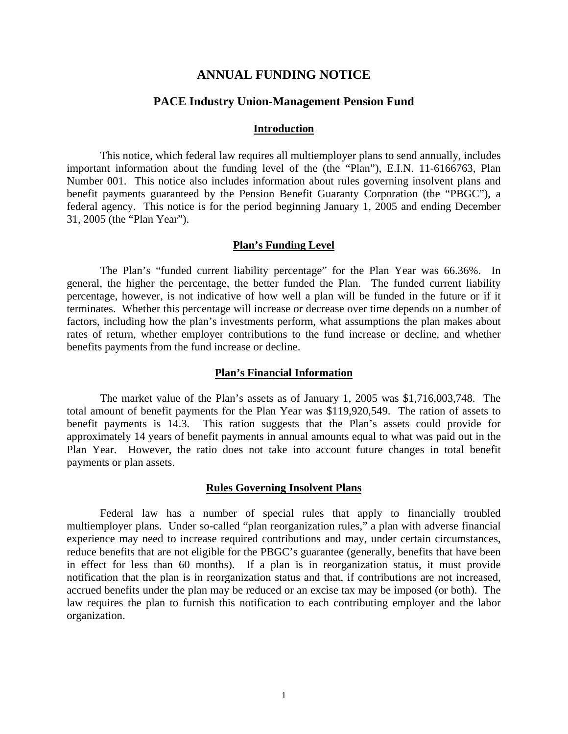# **ANNUAL FUNDING NOTICE**

# **PACE Industry Union-Management Pension Fund**

## **Introduction**

This notice, which federal law requires all multiemployer plans to send annually, includes important information about the funding level of the (the "Plan"), E.I.N. 11-6166763, Plan Number 001. This notice also includes information about rules governing insolvent plans and benefit payments guaranteed by the Pension Benefit Guaranty Corporation (the "PBGC"), a federal agency. This notice is for the period beginning January 1, 2005 and ending December 31, 2005 (the "Plan Year").

### **Plan's Funding Level**

 The Plan's "funded current liability percentage" for the Plan Year was 66.36%. In general, the higher the percentage, the better funded the Plan. The funded current liability percentage, however, is not indicative of how well a plan will be funded in the future or if it terminates. Whether this percentage will increase or decrease over time depends on a number of factors, including how the plan's investments perform, what assumptions the plan makes about rates of return, whether employer contributions to the fund increase or decline, and whether benefits payments from the fund increase or decline.

## **Plan's Financial Information**

 The market value of the Plan's assets as of January 1, 2005 was \$1,716,003,748. The total amount of benefit payments for the Plan Year was \$119,920,549. The ration of assets to benefit payments is 14.3. This ration suggests that the Plan's assets could provide for approximately 14 years of benefit payments in annual amounts equal to what was paid out in the Plan Year. However, the ratio does not take into account future changes in total benefit payments or plan assets.

## **Rules Governing Insolvent Plans**

 Federal law has a number of special rules that apply to financially troubled multiemployer plans. Under so-called "plan reorganization rules," a plan with adverse financial experience may need to increase required contributions and may, under certain circumstances, reduce benefits that are not eligible for the PBGC's guarantee (generally, benefits that have been in effect for less than 60 months). If a plan is in reorganization status, it must provide notification that the plan is in reorganization status and that, if contributions are not increased, accrued benefits under the plan may be reduced or an excise tax may be imposed (or both). The law requires the plan to furnish this notification to each contributing employer and the labor organization.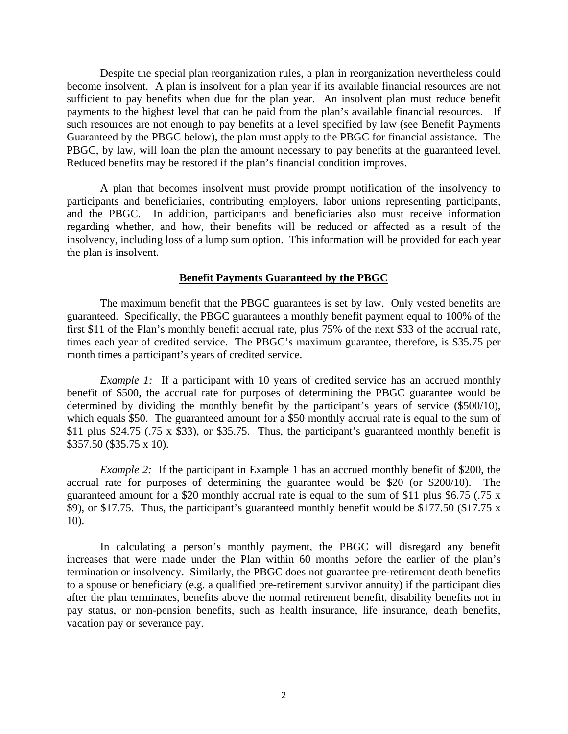Despite the special plan reorganization rules, a plan in reorganization nevertheless could become insolvent. A plan is insolvent for a plan year if its available financial resources are not sufficient to pay benefits when due for the plan year. An insolvent plan must reduce benefit payments to the highest level that can be paid from the plan's available financial resources. If such resources are not enough to pay benefits at a level specified by law (see Benefit Payments Guaranteed by the PBGC below), the plan must apply to the PBGC for financial assistance. The PBGC, by law, will loan the plan the amount necessary to pay benefits at the guaranteed level. Reduced benefits may be restored if the plan's financial condition improves.

 A plan that becomes insolvent must provide prompt notification of the insolvency to participants and beneficiaries, contributing employers, labor unions representing participants, and the PBGC. In addition, participants and beneficiaries also must receive information regarding whether, and how, their benefits will be reduced or affected as a result of the insolvency, including loss of a lump sum option. This information will be provided for each year the plan is insolvent.

## **Benefit Payments Guaranteed by the PBGC**

 The maximum benefit that the PBGC guarantees is set by law. Only vested benefits are guaranteed. Specifically, the PBGC guarantees a monthly benefit payment equal to 100% of the first \$11 of the Plan's monthly benefit accrual rate, plus 75% of the next \$33 of the accrual rate, times each year of credited service. The PBGC's maximum guarantee, therefore, is \$35.75 per month times a participant's years of credited service.

*Example 1:* If a participant with 10 years of credited service has an accrued monthly benefit of \$500, the accrual rate for purposes of determining the PBGC guarantee would be determined by dividing the monthly benefit by the participant's years of service (\$500/10), which equals \$50. The guaranteed amount for a \$50 monthly accrual rate is equal to the sum of \$11 plus \$24.75 (.75 x \$33), or \$35.75. Thus, the participant's guaranteed monthly benefit is \$357.50 (\$35.75 x 10).

*Example 2:* If the participant in Example 1 has an accrued monthly benefit of \$200, the accrual rate for purposes of determining the guarantee would be \$20 (or \$200/10). The guaranteed amount for a \$20 monthly accrual rate is equal to the sum of \$11 plus \$6.75 (.75 x \$9), or \$17.75. Thus, the participant's guaranteed monthly benefit would be \$177.50 (\$17.75 x 10).

 In calculating a person's monthly payment, the PBGC will disregard any benefit increases that were made under the Plan within 60 months before the earlier of the plan's termination or insolvency. Similarly, the PBGC does not guarantee pre-retirement death benefits to a spouse or beneficiary (e.g. a qualified pre-retirement survivor annuity) if the participant dies after the plan terminates, benefits above the normal retirement benefit, disability benefits not in pay status, or non-pension benefits, such as health insurance, life insurance, death benefits, vacation pay or severance pay.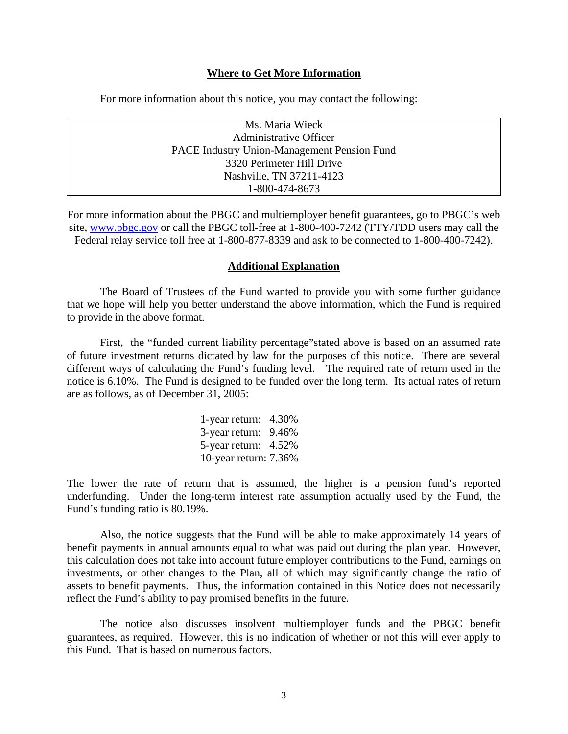## **Where to Get More Information**

For more information about this notice, you may contact the following:

| Ms. Maria Wieck                             |
|---------------------------------------------|
| <b>Administrative Officer</b>               |
| PACE Industry Union-Management Pension Fund |
| 3320 Perimeter Hill Drive                   |
| Nashville, TN 37211-4123                    |
| 1-800-474-8673                              |

For more information about the PBGC and multiemployer benefit guarantees, go to PBGC's web site, [www.pbgc.gov](http://www.pbgc.gov/) or call the PBGC toll-free at 1-800-400-7242 (TTY/TDD users may call the Federal relay service toll free at 1-800-877-8339 and ask to be connected to 1-800-400-7242).

#### **Additional Explanation**

The Board of Trustees of the Fund wanted to provide you with some further guidance that we hope will help you better understand the above information, which the Fund is required to provide in the above format.

 First, the "funded current liability percentage"stated above is based on an assumed rate of future investment returns dictated by law for the purposes of this notice. There are several different ways of calculating the Fund's funding level. The required rate of return used in the notice is 6.10%. The Fund is designed to be funded over the long term. Its actual rates of return are as follows, as of December 31, 2005:

> 1-year return: 4.30% 3-year return: 9.46% 5-year return: 4.52% 10-year return: 7.36%

The lower the rate of return that is assumed, the higher is a pension fund's reported underfunding. Under the long-term interest rate assumption actually used by the Fund, the Fund's funding ratio is 80.19%.

 Also, the notice suggests that the Fund will be able to make approximately 14 years of benefit payments in annual amounts equal to what was paid out during the plan year. However, this calculation does not take into account future employer contributions to the Fund, earnings on investments, or other changes to the Plan, all of which may significantly change the ratio of assets to benefit payments. Thus, the information contained in this Notice does not necessarily reflect the Fund's ability to pay promised benefits in the future.

 The notice also discusses insolvent multiemployer funds and the PBGC benefit guarantees, as required. However, this is no indication of whether or not this will ever apply to this Fund. That is based on numerous factors.